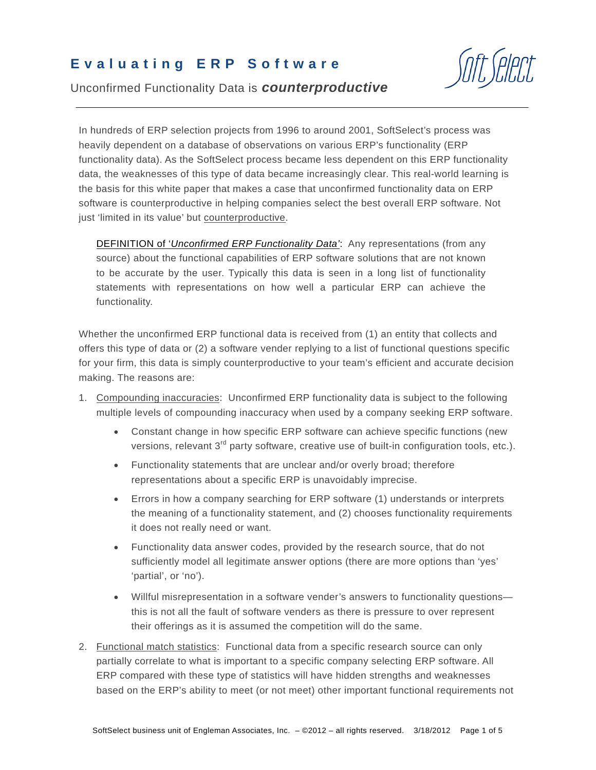## **Evaluating ERP Software**

Unconfirmed Functionality Data is *counterproductive*

In hundreds of ERP selection projects from 1996 to around 2001, SoftSelect's process was heavily dependent on a database of observations on various ERP's functionality (ERP functionality data). As the SoftSelect process became less dependent on this ERP functionality data, the weaknesses of this type of data became increasingly clear. This real-world learning is the basis for this white paper that makes a case that unconfirmed functionality data on ERP software is counterproductive in helping companies select the best overall ERP software. Not just 'limited in its value' but counterproductive.

DEFINITION of '*Unconfirmed ERP Functionality Data'*: Any representations (from any source) about the functional capabilities of ERP software solutions that are not known to be accurate by the user. Typically this data is seen in a long list of functionality statements with representations on how well a particular ERP can achieve the functionality.

Whether the unconfirmed ERP functional data is received from (1) an entity that collects and offers this type of data or (2) a software vender replying to a list of functional questions specific for your firm, this data is simply counterproductive to your team's efficient and accurate decision making. The reasons are:

- 1. Compounding inaccuracies: Unconfirmed ERP functionality data is subject to the following multiple levels of compounding inaccuracy when used by a company seeking ERP software.
	- Constant change in how specific ERP software can achieve specific functions (new versions, relevant 3<sup>rd</sup> party software, creative use of built-in configuration tools, etc.).
	- Functionality statements that are unclear and/or overly broad; therefore representations about a specific ERP is unavoidably imprecise.
	- Errors in how a company searching for ERP software (1) understands or interprets the meaning of a functionality statement, and (2) chooses functionality requirements it does not really need or want.
	- Functionality data answer codes, provided by the research source, that do not sufficiently model all legitimate answer options (there are more options than 'yes' 'partial', or 'no').
	- Willful misrepresentation in a software vender's answers to functionality questions this is not all the fault of software venders as there is pressure to over represent their offerings as it is assumed the competition will do the same.
- 2. Functional match statistics: Functional data from a specific research source can only partially correlate to what is important to a specific company selecting ERP software. All ERP compared with these type of statistics will have hidden strengths and weaknesses based on the ERP's ability to meet (or not meet) other important functional requirements not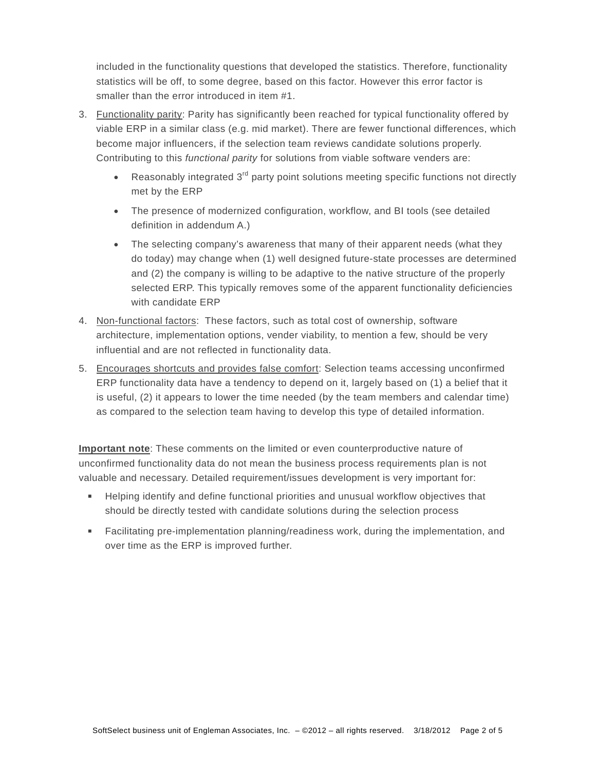included in the functionality questions that developed the statistics. Therefore, functionality statistics will be off, to some degree, based on this factor. However this error factor is smaller than the error introduced in item #1.

- 3. Functionality parity: Parity has significantly been reached for typical functionality offered by viable ERP in a similar class (e.g. mid market). There are fewer functional differences, which become major influencers, if the selection team reviews candidate solutions properly. Contributing to this *functional parity* for solutions from viable software venders are:
	- Reasonably integrated 3<sup>rd</sup> party point solutions meeting specific functions not directly met by the ERP
	- The presence of modernized configuration, workflow, and BI tools (see detailed definition in addendum A.)
	- The selecting company's awareness that many of their apparent needs (what they do today) may change when (1) well designed future-state processes are determined and (2) the company is willing to be adaptive to the native structure of the properly selected ERP. This typically removes some of the apparent functionality deficiencies with candidate ERP
- 4. Non-functional factors: These factors, such as total cost of ownership, software architecture, implementation options, vender viability, to mention a few, should be very influential and are not reflected in functionality data.
- 5. Encourages shortcuts and provides false comfort: Selection teams accessing unconfirmed ERP functionality data have a tendency to depend on it, largely based on (1) a belief that it is useful, (2) it appears to lower the time needed (by the team members and calendar time) as compared to the selection team having to develop this type of detailed information.

**Important note**: These comments on the limited or even counterproductive nature of unconfirmed functionality data do not mean the business process requirements plan is not valuable and necessary. Detailed requirement/issues development is very important for:

- Helping identify and define functional priorities and unusual workflow objectives that should be directly tested with candidate solutions during the selection process
- Facilitating pre-implementation planning/readiness work, during the implementation, and over time as the ERP is improved further.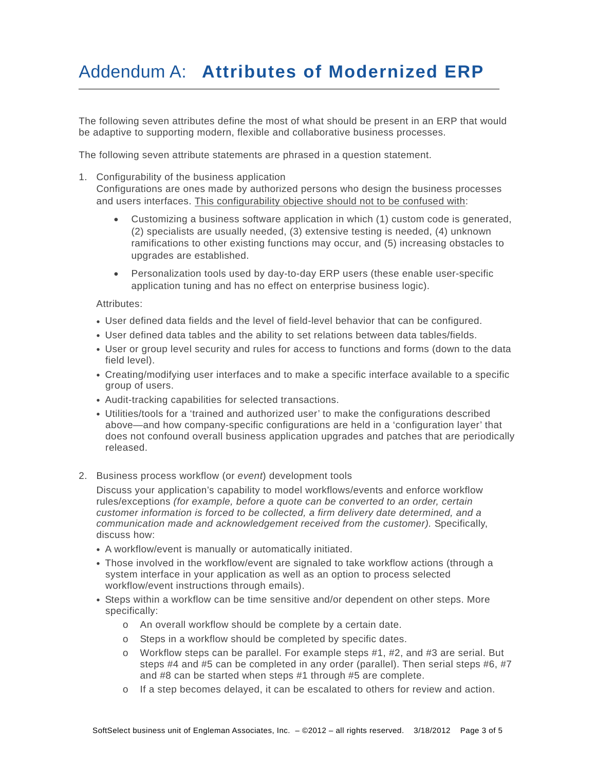## Addendum A: **Attributes of Modernized ERP**

The following seven attributes define the most of what should be present in an ERP that would be adaptive to supporting modern, flexible and collaborative business processes.

The following seven attribute statements are phrased in a question statement.

- 1. Configurability of the business application Configurations are ones made by authorized persons who design the business processes and users interfaces. This configurability objective should not to be confused with:
	- Customizing a business software application in which (1) custom code is generated, (2) specialists are usually needed, (3) extensive testing is needed, (4) unknown ramifications to other existing functions may occur, and (5) increasing obstacles to upgrades are established.
	- Personalization tools used by day-to-day ERP users (these enable user-specific application tuning and has no effect on enterprise business logic).

Attributes:

- User defined data fields and the level of field-level behavior that can be configured.
- User defined data tables and the ability to set relations between data tables/fields.
- User or group level security and rules for access to functions and forms (down to the data field level).
- Creating/modifying user interfaces and to make a specific interface available to a specific group of users.
- Audit-tracking capabilities for selected transactions.
- Utilities/tools for a 'trained and authorized user' to make the configurations described above—and how company-specific configurations are held in a 'configuration layer' that does not confound overall business application upgrades and patches that are periodically released.
- 2. Business process workflow (or *event*) development tools

Discuss your application's capability to model workflows/events and enforce workflow rules/exceptions *(for example, before a quote can be converted to an order, certain customer information is forced to be collected, a firm delivery date determined, and a communication made and acknowledgement received from the customer).* Specifically, discuss how:

- A workflow/event is manually or automatically initiated.
- Those involved in the workflow/event are signaled to take workflow actions (through a system interface in your application as well as an option to process selected workflow/event instructions through emails).
- Steps within a workflow can be time sensitive and/or dependent on other steps. More specifically:
	- o An overall workflow should be complete by a certain date.
	- o Steps in a workflow should be completed by specific dates.
	- o Workflow steps can be parallel. For example steps #1, #2, and #3 are serial. But steps #4 and #5 can be completed in any order (parallel). Then serial steps #6, #7 and #8 can be started when steps #1 through #5 are complete.
	- o If a step becomes delayed, it can be escalated to others for review and action.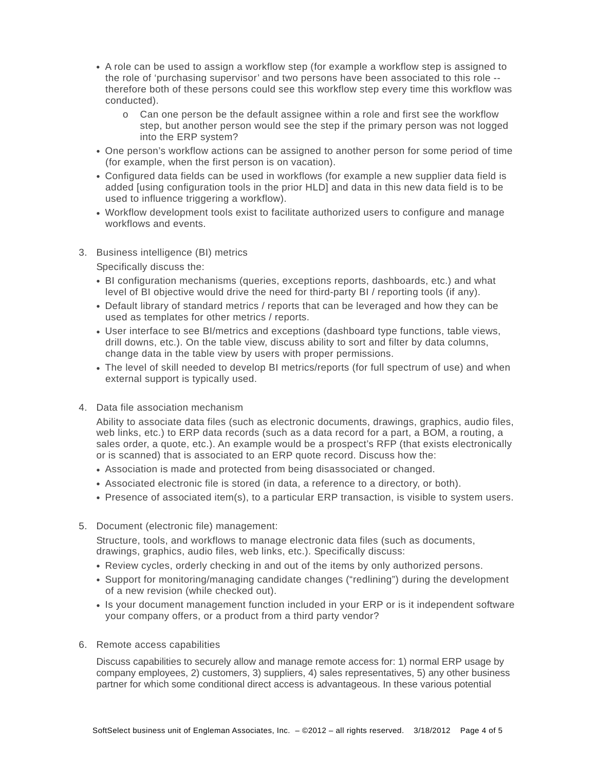- A role can be used to assign a workflow step (for example a workflow step is assigned to the role of 'purchasing supervisor' and two persons have been associated to this role - therefore both of these persons could see this workflow step every time this workflow was conducted).
	- o Can one person be the default assignee within a role and first see the workflow step, but another person would see the step if the primary person was not logged into the ERP system?
- One person's workflow actions can be assigned to another person for some period of time (for example, when the first person is on vacation).
- Configured data fields can be used in workflows (for example a new supplier data field is added [using configuration tools in the prior HLD] and data in this new data field is to be used to influence triggering a workflow).
- Workflow development tools exist to facilitate authorized users to configure and manage workflows and events.
- 3. Business intelligence (BI) metrics

Specifically discuss the:

- BI configuration mechanisms (queries, exceptions reports, dashboards, etc.) and what level of BI objective would drive the need for third-party BI / reporting tools (if any).
- Default library of standard metrics / reports that can be leveraged and how they can be used as templates for other metrics / reports.
- User interface to see BI/metrics and exceptions (dashboard type functions, table views, drill downs, etc.). On the table view, discuss ability to sort and filter by data columns, change data in the table view by users with proper permissions.
- The level of skill needed to develop BI metrics/reports (for full spectrum of use) and when external support is typically used.
- 4. Data file association mechanism

Ability to associate data files (such as electronic documents, drawings, graphics, audio files, web links, etc.) to ERP data records (such as a data record for a part, a BOM, a routing, a sales order, a quote, etc.). An example would be a prospect's RFP (that exists electronically or is scanned) that is associated to an ERP quote record. Discuss how the:

- Association is made and protected from being disassociated or changed.
- Associated electronic file is stored (in data, a reference to a directory, or both).
- Presence of associated item(s), to a particular ERP transaction, is visible to system users.
- 5. Document (electronic file) management:

Structure, tools, and workflows to manage electronic data files (such as documents, drawings, graphics, audio files, web links, etc.). Specifically discuss:

- Review cycles, orderly checking in and out of the items by only authorized persons.
- Support for monitoring/managing candidate changes ("redlining") during the development of a new revision (while checked out).
- Is your document management function included in your ERP or is it independent software your company offers, or a product from a third party vendor?
- 6. Remote access capabilities

Discuss capabilities to securely allow and manage remote access for: 1) normal ERP usage by company employees, 2) customers, 3) suppliers, 4) sales representatives, 5) any other business partner for which some conditional direct access is advantageous. In these various potential